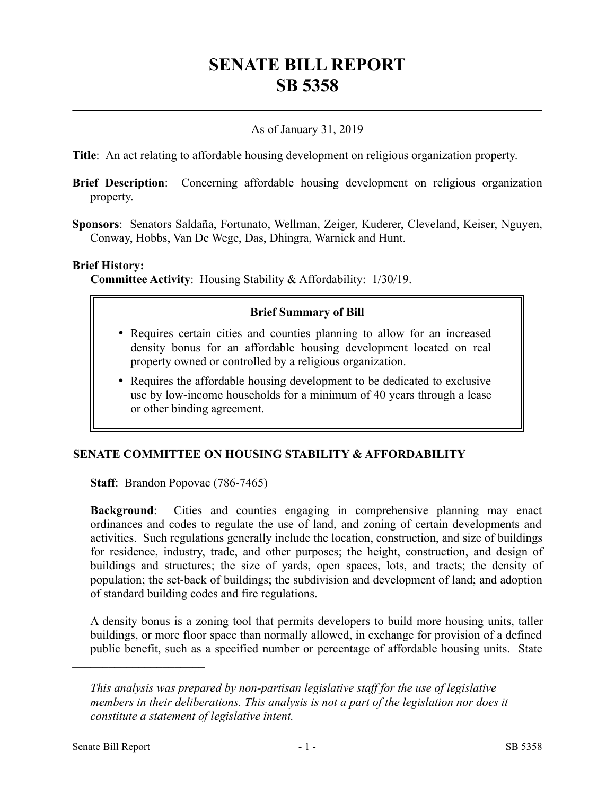# **SENATE BILL REPORT SB 5358**

## As of January 31, 2019

**Title**: An act relating to affordable housing development on religious organization property.

- **Brief Description**: Concerning affordable housing development on religious organization property.
- **Sponsors**: Senators Saldaña, Fortunato, Wellman, Zeiger, Kuderer, Cleveland, Keiser, Nguyen, Conway, Hobbs, Van De Wege, Das, Dhingra, Warnick and Hunt.

#### **Brief History:**

**Committee Activity**: Housing Stability & Affordability: 1/30/19.

### **Brief Summary of Bill**

- Requires certain cities and counties planning to allow for an increased density bonus for an affordable housing development located on real property owned or controlled by a religious organization.
- Requires the affordable housing development to be dedicated to exclusive use by low-income households for a minimum of 40 years through a lease or other binding agreement.

### **SENATE COMMITTEE ON HOUSING STABILITY & AFFORDABILITY**

**Staff**: Brandon Popovac (786-7465)

**Background**: Cities and counties engaging in comprehensive planning may enact ordinances and codes to regulate the use of land, and zoning of certain developments and activities. Such regulations generally include the location, construction, and size of buildings for residence, industry, trade, and other purposes; the height, construction, and design of buildings and structures; the size of yards, open spaces, lots, and tracts; the density of population; the set-back of buildings; the subdivision and development of land; and adoption of standard building codes and fire regulations.

A density bonus is a zoning tool that permits developers to build more housing units, taller buildings, or more floor space than normally allowed, in exchange for provision of a defined public benefit, such as a specified number or percentage of affordable housing units. State

––––––––––––––––––––––

*This analysis was prepared by non-partisan legislative staff for the use of legislative members in their deliberations. This analysis is not a part of the legislation nor does it constitute a statement of legislative intent.*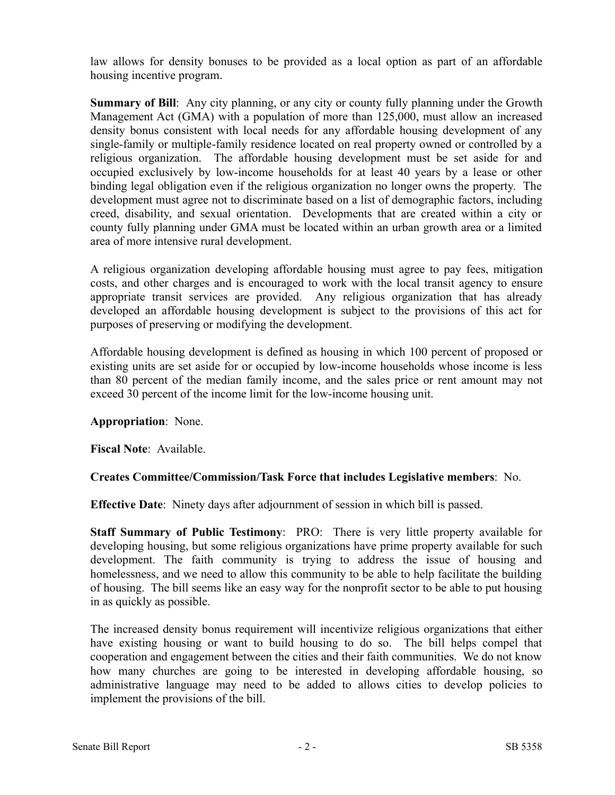law allows for density bonuses to be provided as a local option as part of an affordable housing incentive program.

**Summary of Bill**: Any city planning, or any city or county fully planning under the Growth Management Act (GMA) with a population of more than 125,000, must allow an increased density bonus consistent with local needs for any affordable housing development of any single-family or multiple-family residence located on real property owned or controlled by a religious organization. The affordable housing development must be set aside for and occupied exclusively by low-income households for at least 40 years by a lease or other binding legal obligation even if the religious organization no longer owns the property. The development must agree not to discriminate based on a list of demographic factors, including creed, disability, and sexual orientation. Developments that are created within a city or county fully planning under GMA must be located within an urban growth area or a limited area of more intensive rural development.

A religious organization developing affordable housing must agree to pay fees, mitigation costs, and other charges and is encouraged to work with the local transit agency to ensure appropriate transit services are provided. Any religious organization that has already developed an affordable housing development is subject to the provisions of this act for purposes of preserving or modifying the development.

Affordable housing development is defined as housing in which 100 percent of proposed or existing units are set aside for or occupied by low-income households whose income is less than 80 percent of the median family income, and the sales price or rent amount may not exceed 30 percent of the income limit for the low-income housing unit.

### **Appropriation**: None.

**Fiscal Note**: Available.

### **Creates Committee/Commission/Task Force that includes Legislative members**: No.

**Effective Date**: Ninety days after adjournment of session in which bill is passed.

**Staff Summary of Public Testimony**: PRO: There is very little property available for developing housing, but some religious organizations have prime property available for such development. The faith community is trying to address the issue of housing and homelessness, and we need to allow this community to be able to help facilitate the building of housing. The bill seems like an easy way for the nonprofit sector to be able to put housing in as quickly as possible.

The increased density bonus requirement will incentivize religious organizations that either have existing housing or want to build housing to do so. The bill helps compel that cooperation and engagement between the cities and their faith communities. We do not know how many churches are going to be interested in developing affordable housing, so administrative language may need to be added to allows cities to develop policies to implement the provisions of the bill.